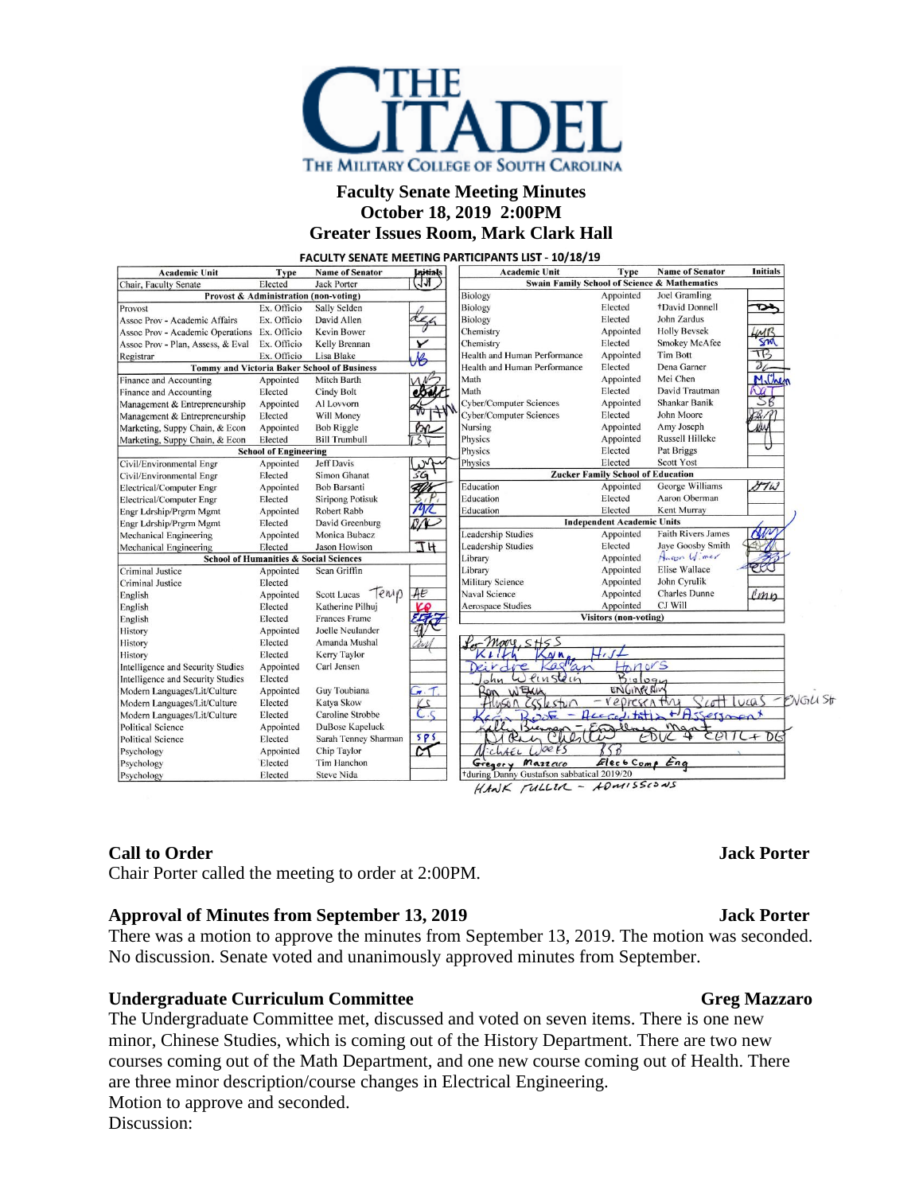

### **Faculty Senate Meeting Minutes October 18, 2019 2:00PM Greater Issues Room, Mark Clark Hall**

FACULTY SENATE MEETING PARTICIPANTS LIST - 10/18/19

| <b>Academic Unit</b>                               | Type                                  | <b>Name of Senator</b>  | <b>Lepitials</b>         | <b>Academic Unit</b>                                                      | Type                                                    | <b>Name of Senator</b>    | <b>Initials</b> |
|----------------------------------------------------|---------------------------------------|-------------------------|--------------------------|---------------------------------------------------------------------------|---------------------------------------------------------|---------------------------|-----------------|
| Elected<br>Jack Porter<br>Chair, Faculty Senate    |                                       |                         | त्रज                     |                                                                           | <b>Swain Family School of Science &amp; Mathematics</b> |                           |                 |
|                                                    | Provost & Administration (non-voting) |                         |                          | Biology                                                                   | Appointed                                               | Joel Gramling             |                 |
| Provost                                            | Ex. Officio                           | Sally Selden            |                          | Biology                                                                   | Elected                                                 | +David Donnell            | ∾               |
| Assoc Prov - Academic Affairs                      | Ex. Officio                           | David Allen             |                          | Biology                                                                   | Elected                                                 | John Zardus               |                 |
| Assoc Prov - Academic Operations                   | Ex. Officio                           | Kevin Bower             |                          | Chemistry                                                                 | Appointed                                               | <b>Holly Bevsek</b>       | LMB             |
| Assoc Prov - Plan, Assess, & Eval                  | Ex. Officio                           | Kelly Brennan           | ✔                        | Chemistry                                                                 | Elected                                                 | <b>Smokey McAfee</b>      | SM              |
| Registrar                                          | Ex. Officio                           | Lisa Blake              | $\overline{\mathcal{M}}$ | Health and Human Performance                                              | Appointed                                               | <b>Tim Bott</b>           | TB              |
| <b>Tommy and Victoria Baker School of Business</b> |                                       |                         |                          | Health and Human Performance                                              | Elected                                                 | Dena Garner               | $\partial L$    |
| Finance and Accounting                             | Appointed                             | Mitch Barth             |                          | Math                                                                      | Appointed                                               | Mei Chen                  | Milhe           |
| Finance and Accounting                             | Elected                               | Cindy Bolt              |                          | Math                                                                      | Elected                                                 | David Trautman            |                 |
| Management & Entrepreneurship                      | Appointed                             | Al Lovvorn              |                          | <b>Cyber/Computer Sciences</b>                                            | Appointed                                               | Shankar Banik             | SB              |
| Management & Entrepreneurship                      | Elected                               | Will Money              |                          | <b>Cyber/Computer Sciences</b>                                            | Elected                                                 | John Moore                |                 |
| Marketing, Suppy Chain, & Econ                     | Appointed                             | <b>Bob Riggle</b>       |                          | Nursing                                                                   | Appointed                                               | Amy Joseph                |                 |
| Marketing, Suppy Chain, & Econ                     | Elected                               | <b>Bill Trumbull</b>    |                          | Physics                                                                   | Appointed                                               | <b>Russell Hilleke</b>    |                 |
|                                                    | <b>School of Engineering</b>          |                         |                          | Physics                                                                   | Elected                                                 | Pat Briggs                |                 |
| Civil/Environmental Engr                           | Appointed                             | Jeff Davis              |                          | Physics                                                                   | Elected                                                 | Scott Yost                |                 |
| Civil/Environmental Engr                           | Elected                               | Simon Ghanat            | ŚΘ                       |                                                                           | <b>Zucker Family School of Education</b>                |                           |                 |
| Electrical/Computer Engr                           | Appointed                             | <b>Bob Barsanti</b>     |                          | Education                                                                 | Appointed                                               | George Williams           | DIW             |
| Electrical/Computer Engr                           | Elected                               | <b>Siripong Potisuk</b> |                          | Education                                                                 | Elected                                                 | Aaron Oberman             |                 |
| Engr Ldrship/Prgrm Mgmt                            | Appointed                             | Robert Rabb             |                          | Education                                                                 | Elected                                                 | Kent Murray               |                 |
| Engr Ldrship/Prgrm Mgmt                            | Elected                               | David Greenburg         |                          | <b>Independent Academic Units</b>                                         |                                                         |                           |                 |
| Mechanical Engineering                             | Appointed                             | Monica Bubacz           |                          | <b>Leadership Studies</b>                                                 | Appointed                                               | <b>Faith Rivers James</b> |                 |
| Mechanical Engineering                             | Elected                               | <b>Jason Howison</b>    | <b>IH</b>                | <b>Leadership Studies</b>                                                 | Elected                                                 | Jaye Goosby Smith         |                 |
| <b>School of Humanities &amp; Social Sciences</b>  |                                       |                         |                          | Library                                                                   | Appointed                                               | Happy Wimer               |                 |
| Criminal Justice                                   | Appointed                             | Sean Griffin            |                          | Library                                                                   | Appointed                                               | <b>Elise Wallace</b>      |                 |
| <b>Criminal Justice</b>                            | Elected                               |                         |                          | <b>Military Science</b>                                                   | Appointed                                               | John Cyrulik              |                 |
| English                                            | Appointed                             | Tenip<br>Scott Lucas    | AE                       | Naval Science                                                             | Appointed                                               | <b>Charles Dunne</b>      | emp             |
| English                                            | Elected                               | Katherine Pilhuj        |                          | <b>Aerospace Studies</b>                                                  | Appointed                                               | CJ Will                   |                 |
| English                                            | Elected                               | <b>Frances Frame</b>    |                          | <b>Visitors (non-voting)</b>                                              |                                                         |                           |                 |
| History                                            | Appointed                             | Joelle Neulander        |                          |                                                                           |                                                         |                           |                 |
| History                                            | Elected                               | Amanda Mushal           |                          | $<$ $+$ $<$ $>$                                                           |                                                         |                           |                 |
| History                                            | Elected                               | Kerry Taylor            |                          | NM                                                                        |                                                         |                           |                 |
| Intelligence and Security Studies                  | Appointed                             | Carl Jensen             |                          | Castlan<br>tonors<br>$i$ e                                                |                                                         |                           |                 |
| Intelligence and Security Studies                  | Elected                               |                         |                          | $\omega$<br>Pinstein                                                      | $B_1$                                                   |                           |                 |
| Modern Languages/Lit/Culture                       | Appointed                             | Guy Toubiana            | $\widetilde{F}$ . T.     | ENGINEERIN<br>WEXH<br>Ron                                                 |                                                         |                           |                 |
| Modern Languages/Lit/Culture                       | Elected                               | Katya Skow              | $\overline{2}$           | ENGLI Str<br>╱<br>Cott lucas<br>representing<br>5700                      |                                                         |                           |                 |
| Modern Languages/Lit/Culture                       | Elected                               | Caroline Strobbe        | $C.\zeta$                | + Assessment<br>H <sub>1</sub><br>Rega<br>555<br>$\overline{\phantom{0}}$ |                                                         |                           |                 |
| <b>Political Science</b>                           | Appointed                             | DuBose Kapeluck         |                          | m <sub>o</sub><br>P O                                                     |                                                         |                           |                 |
| <b>Political Science</b>                           | Elected                               | Sarah Tenney Sharman    | 5P5                      | $\Theta$<br>D.<br>$\ddot{+}$<br>Rac<br>$\frac{1}{2}$                      |                                                         |                           |                 |
| Psychology                                         | Appointed                             | Chip Taylor             | $\overline{\mathcal{C}}$ | 1.005<br>$\left\langle \right\rangle$<br>$t$ chter                        |                                                         |                           |                 |
| Psychology                                         | Elected                               | Tim Hanchon             |                          | Gregory Mazzaro                                                           | Elect Comp Eng                                          |                           |                 |
| Psychology                                         | Elected                               | <b>Steve Nida</b>       |                          | during Danny Gustafson sabbatical 2019/20                                 |                                                         |                           |                 |
|                                                    |                                       |                         |                          | HANK FULLIA - HOMISSIONS                                                  |                                                         |                           |                 |

### **Call to Order Jack Porter**

Chair Porter called the meeting to order at 2:00PM.

### **Approval of Minutes from September 13, 2019 Jack Porter**

There was a motion to approve the minutes from September 13, 2019. The motion was seconded. No discussion. Senate voted and unanimously approved minutes from September.

### **Undergraduate Curriculum Committee Gregier Greg Mazzaro**

The Undergraduate Committee met, discussed and voted on seven items. There is one new minor, Chinese Studies, which is coming out of the History Department. There are two new courses coming out of the Math Department, and one new course coming out of Health. There are three minor description/course changes in Electrical Engineering. Motion to approve and seconded. Discussion: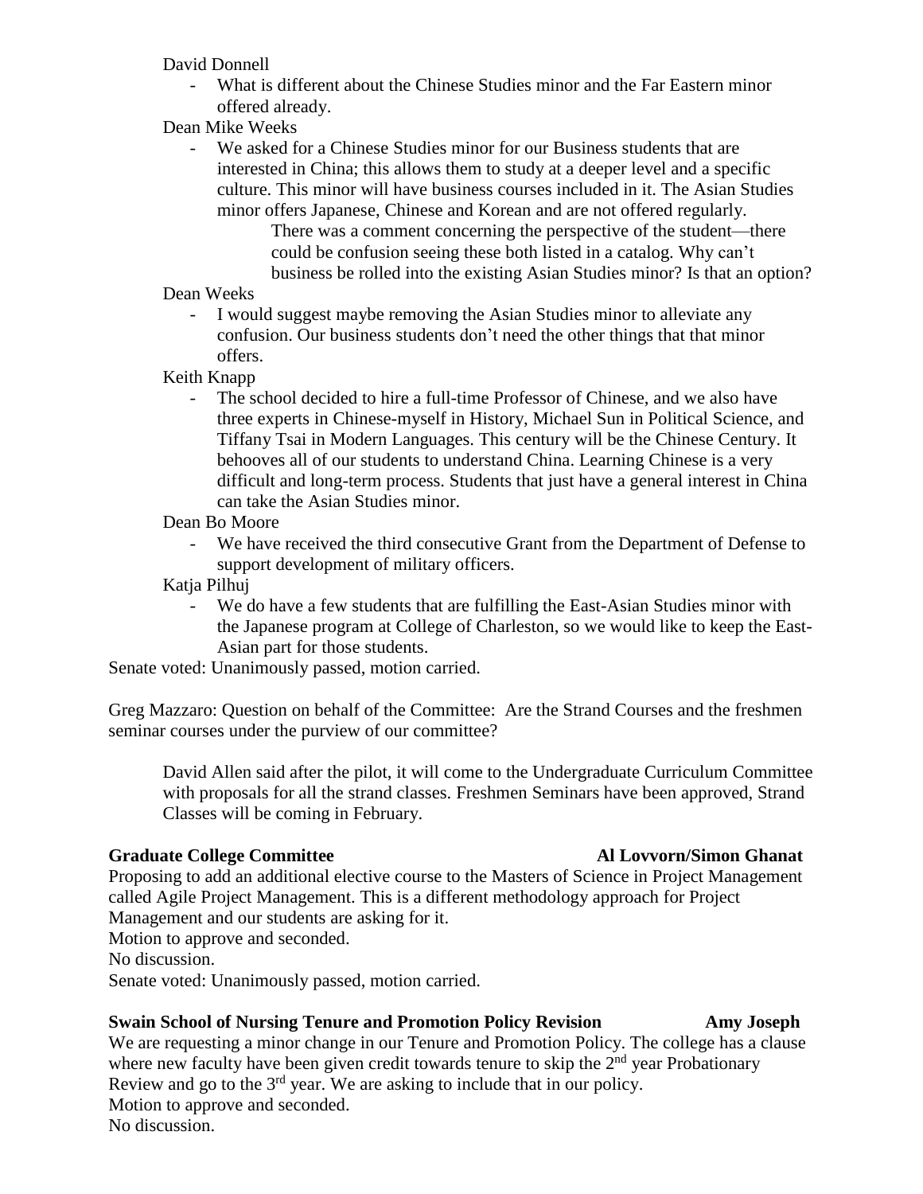David Donnell

- What is different about the Chinese Studies minor and the Far Eastern minor offered already.
- Dean Mike Weeks
	- We asked for a Chinese Studies minor for our Business students that are interested in China; this allows them to study at a deeper level and a specific culture. This minor will have business courses included in it. The Asian Studies minor offers Japanese, Chinese and Korean and are not offered regularly.

There was a comment concerning the perspective of the student—there could be confusion seeing these both listed in a catalog. Why can't business be rolled into the existing Asian Studies minor? Is that an option?

Dean Weeks

- I would suggest maybe removing the Asian Studies minor to alleviate any confusion. Our business students don't need the other things that that minor offers.
- Keith Knapp
	- The school decided to hire a full-time Professor of Chinese, and we also have three experts in Chinese-myself in History, Michael Sun in Political Science, and Tiffany Tsai in Modern Languages. This century will be the Chinese Century. It behooves all of our students to understand China. Learning Chinese is a very difficult and long-term process. Students that just have a general interest in China can take the Asian Studies minor.
- Dean Bo Moore
	- We have received the third consecutive Grant from the Department of Defense to support development of military officers.
- Katja Pilhuj
	- We do have a few students that are fulfilling the East-Asian Studies minor with the Japanese program at College of Charleston, so we would like to keep the East-Asian part for those students.

Senate voted: Unanimously passed, motion carried.

Greg Mazzaro: Question on behalf of the Committee: Are the Strand Courses and the freshmen seminar courses under the purview of our committee?

David Allen said after the pilot, it will come to the Undergraduate Curriculum Committee with proposals for all the strand classes. Freshmen Seminars have been approved, Strand Classes will be coming in February.

# **Graduate College Committee Al Lovvorn/Simon Ghanat**

Proposing to add an additional elective course to the Masters of Science in Project Management called Agile Project Management. This is a different methodology approach for Project Management and our students are asking for it. Motion to approve and seconded.

No discussion.

Senate voted: Unanimously passed, motion carried.

# **Swain School of Nursing Tenure and Promotion Policy Revision Amy Joseph**

# We are requesting a minor change in our Tenure and Promotion Policy. The college has a clause where new faculty have been given credit towards tenure to skip the  $2<sup>nd</sup>$  year Probationary Review and go to the  $3<sup>rd</sup>$  year. We are asking to include that in our policy.

Motion to approve and seconded.

No discussion.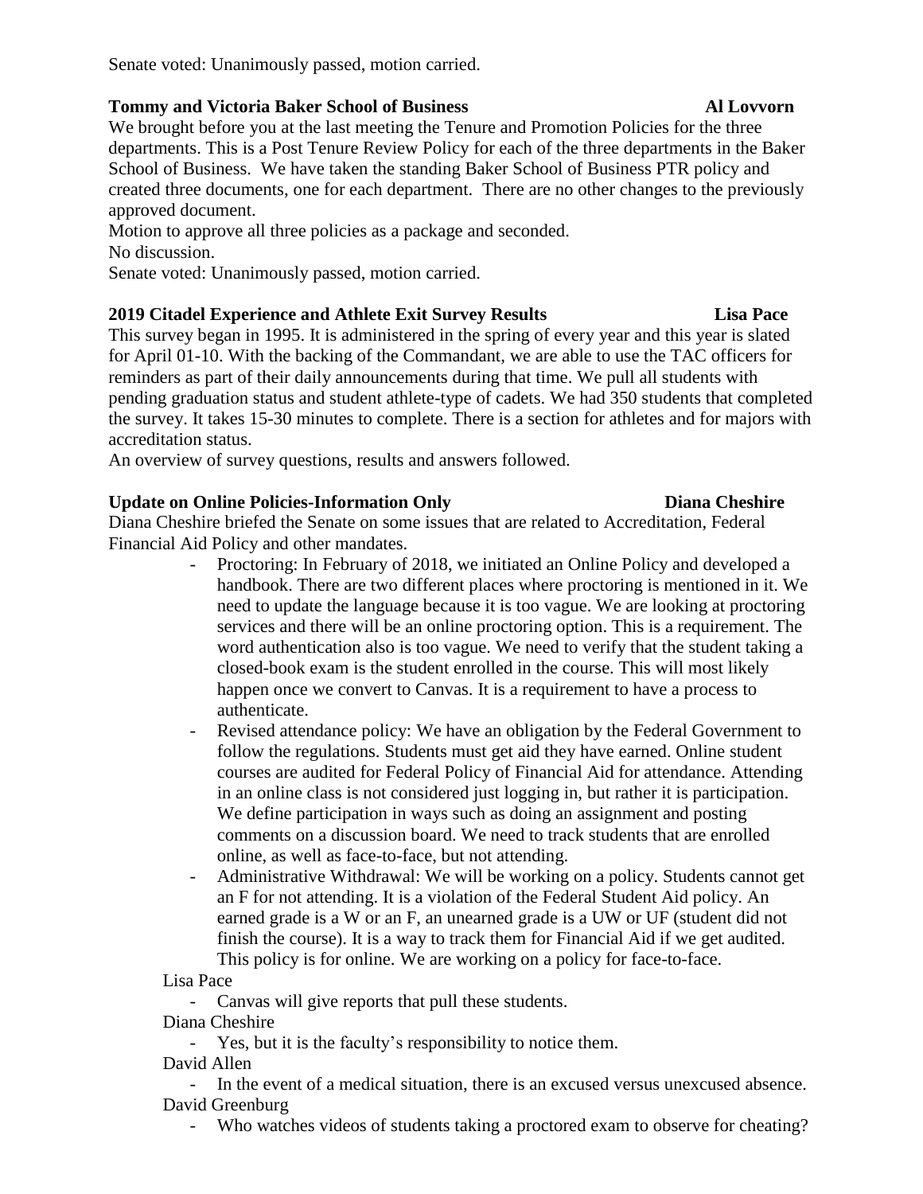Senate voted: Unanimously passed, motion carried.

### **Tommy and Victoria Baker School of Business Al Lovvorn**

We brought before you at the last meeting the Tenure and Promotion Policies for the three departments. This is a Post Tenure Review Policy for each of the three departments in the Baker School of Business. We have taken the standing Baker School of Business PTR policy and created three documents, one for each department. There are no other changes to the previously approved document.

Motion to approve all three policies as a package and seconded. No discussion.

Senate voted: Unanimously passed, motion carried.

# **2019 Citadel Experience and Athlete Exit Survey Results Lisa Pace**

This survey began in 1995. It is administered in the spring of every year and this year is slated for April 01-10. With the backing of the Commandant, we are able to use the TAC officers for reminders as part of their daily announcements during that time. We pull all students with pending graduation status and student athlete-type of cadets. We had 350 students that completed the survey. It takes 15-30 minutes to complete. There is a section for athletes and for majors with accreditation status.

An overview of survey questions, results and answers followed.

# **Update on Online Policies-Information Only Diana Cheshire**

Diana Cheshire briefed the Senate on some issues that are related to Accreditation, Federal Financial Aid Policy and other mandates.

- Proctoring: In February of 2018, we initiated an Online Policy and developed a handbook. There are two different places where proctoring is mentioned in it. We need to update the language because it is too vague. We are looking at proctoring services and there will be an online proctoring option. This is a requirement. The word authentication also is too vague. We need to verify that the student taking a closed-book exam is the student enrolled in the course. This will most likely happen once we convert to Canvas. It is a requirement to have a process to authenticate.
- Revised attendance policy: We have an obligation by the Federal Government to follow the regulations. Students must get aid they have earned. Online student courses are audited for Federal Policy of Financial Aid for attendance. Attending in an online class is not considered just logging in, but rather it is participation. We define participation in ways such as doing an assignment and posting comments on a discussion board. We need to track students that are enrolled online, as well as face-to-face, but not attending.
- Administrative Withdrawal: We will be working on a policy. Students cannot get an F for not attending. It is a violation of the Federal Student Aid policy. An earned grade is a W or an F, an unearned grade is a UW or UF (student did not finish the course). It is a way to track them for Financial Aid if we get audited. This policy is for online. We are working on a policy for face-to-face.

Lisa Pace

- Canvas will give reports that pull these students.

Diana Cheshire

- Yes, but it is the faculty's responsibility to notice them.

David Allen

- In the event of a medical situation, there is an excused versus unexcused absence. David Greenburg

- Who watches videos of students taking a proctored exam to observe for cheating?